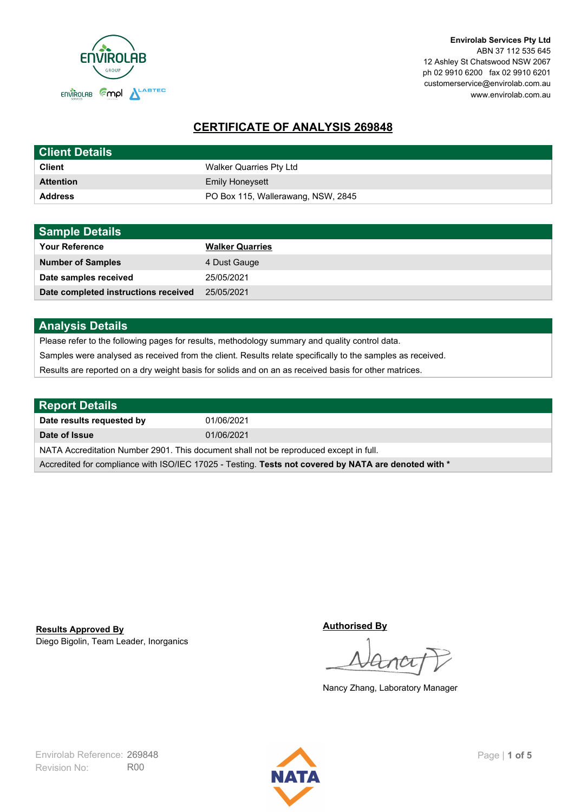

**Envirolab Services Pty Ltd** ABN 37 112 535 645 12 Ashley St Chatswood NSW 2067 ph 02 9910 6200 fax 02 9910 6201 customerservice@envirolab.com.au www.envirolab.com.au

# **CERTIFICATE OF ANALYSIS 269848**

| <b>Client Details</b> |                                    |
|-----------------------|------------------------------------|
| <b>Client</b>         | Walker Quarries Pty Ltd            |
| <b>Attention</b>      | <b>Emily Honeysett</b>             |
| <b>Address</b>        | PO Box 115, Wallerawang, NSW, 2845 |

| <b>Sample Details</b>                |                        |
|--------------------------------------|------------------------|
| <b>Your Reference</b>                | <b>Walker Quarries</b> |
| <b>Number of Samples</b>             | 4 Dust Gauge           |
| Date samples received                | 25/05/2021             |
| Date completed instructions received | 25/05/2021             |

## **Analysis Details**

Please refer to the following pages for results, methodology summary and quality control data.

Samples were analysed as received from the client. Results relate specifically to the samples as received.

Results are reported on a dry weight basis for solids and on an as received basis for other matrices.

| <b>Report Details</b>                                                                                |            |  |
|------------------------------------------------------------------------------------------------------|------------|--|
| Date results requested by                                                                            | 01/06/2021 |  |
| Date of Issue                                                                                        | 01/06/2021 |  |
| NATA Accreditation Number 2901. This document shall not be reproduced except in full.                |            |  |
| Accredited for compliance with ISO/IEC 17025 - Testing. Tests not covered by NATA are denoted with * |            |  |

Diego Bigolin, Team Leader, Inorganics **Results Approved By**

**Authorised By**

Nancy Zhang, Laboratory Manager

Revision No: R00 Envirolab Reference: 269848 Page | 1 of 5

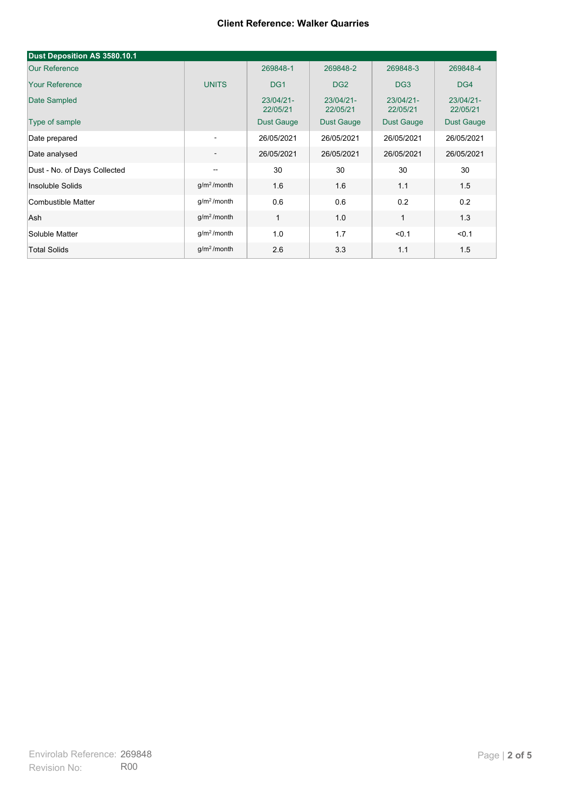| Dust Deposition AS 3580.10.1 |                          |                       |                       |                       |                       |
|------------------------------|--------------------------|-----------------------|-----------------------|-----------------------|-----------------------|
| <b>Our Reference</b>         |                          | 269848-1              | 269848-2              | 269848-3              | 269848-4              |
| <b>Your Reference</b>        | <b>UNITS</b>             | DG <sub>1</sub>       | DG <sub>2</sub>       | DG <sub>3</sub>       | DG4                   |
| Date Sampled                 |                          | 23/04/21-<br>22/05/21 | 23/04/21-<br>22/05/21 | 23/04/21-<br>22/05/21 | 23/04/21-<br>22/05/21 |
| Type of sample               |                          | <b>Dust Gauge</b>     | <b>Dust Gauge</b>     | <b>Dust Gauge</b>     | Dust Gauge            |
| Date prepared                | $\overline{\phantom{a}}$ | 26/05/2021            | 26/05/2021            | 26/05/2021            | 26/05/2021            |
| Date analysed                | $\overline{\phantom{a}}$ | 26/05/2021            | 26/05/2021            | 26/05/2021            | 26/05/2021            |
| Dust - No. of Days Collected | $\overline{\phantom{a}}$ | 30                    | 30                    | 30                    | 30                    |
| Insoluble Solids             | g/m <sup>2</sup> /month  | 1.6                   | 1.6                   | 1.1                   | 1.5                   |
| Combustible Matter           | q/m <sup>2</sup> /month  | 0.6                   | 0.6                   | 0.2                   | 0.2                   |
| Ash                          | g/m <sup>2</sup> /month  | $\mathbf{1}$          | 1.0                   | 1                     | 1.3                   |
| Soluble Matter               | g/m <sup>2</sup> /month  | 1.0                   | 1.7                   | < 0.1                 | < 0.1                 |
| <b>Total Solids</b>          | g/m <sup>2</sup> /month  | 2.6                   | 3.3                   | 1.1                   | 1.5                   |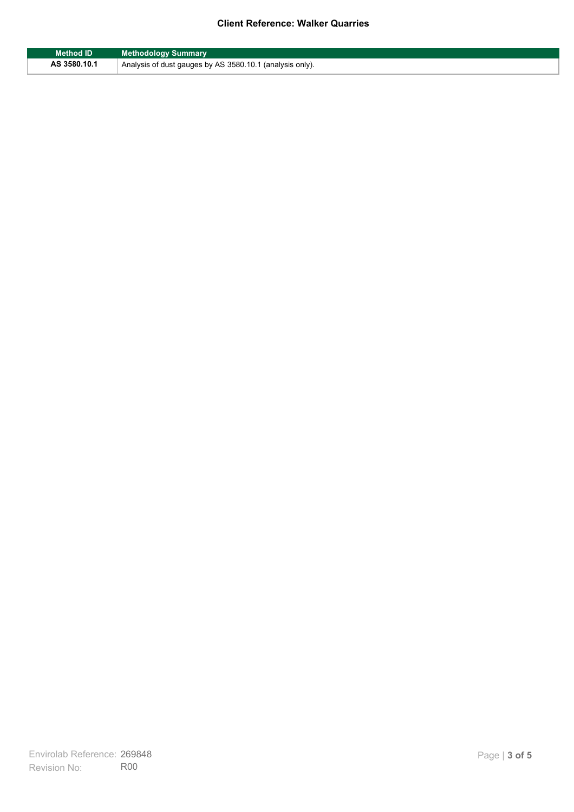| <b>Method ID</b> | <b>Methodology Summary</b>                               |
|------------------|----------------------------------------------------------|
| AS 3580.10.1     | Analysis of dust gauges by AS 3580.10.1 (analysis only). |

F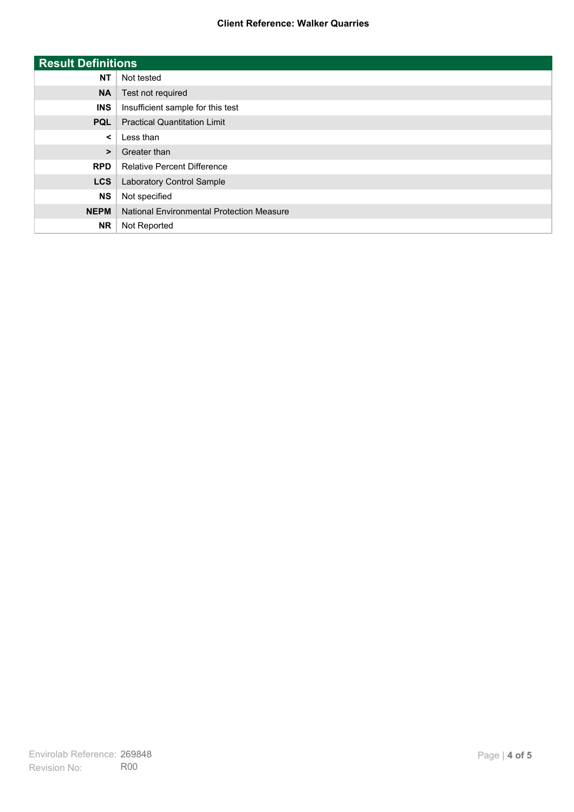| <b>Result Definitions</b> |                                           |
|---------------------------|-------------------------------------------|
| <b>NT</b>                 | Not tested                                |
| <b>NA</b>                 | Test not required                         |
| <b>INS</b>                | Insufficient sample for this test         |
| <b>PQL</b>                | <b>Practical Quantitation Limit</b>       |
| $\prec$                   | Less than                                 |
| $\geq$                    | Greater than                              |
| <b>RPD</b>                | <b>Relative Percent Difference</b>        |
| <b>LCS</b>                | Laboratory Control Sample                 |
| <b>NS</b>                 | Not specified                             |
| <b>NEPM</b>               | National Environmental Protection Measure |
| <b>NR</b>                 | Not Reported                              |